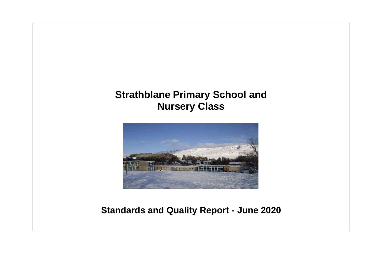# **Strathblane Primary School and Nursery Class**

.



# **Standards and Quality Report - June 2020**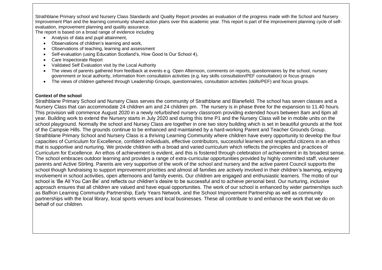Strathblane Primary school and Nursery Class Standards and Quality Report provides an evaluation of the progress made with the School and Nursery Improvement Plan and the learning community shared action plans over this academic year. This report is part of the improvement planning cycle of selfevaluation, improvement planning and quality assurance.

The report is based on a broad range of evidence including

- Analysis of data and pupil attainment,
- Observations of children's learning and work,
- Observations of teaching, learning and assessment
- Self-evaluation (using Education Scotland's, How Good Is Our School 4),
- Care Inspectorate Report
- Validated Self Evaluation visit by the Local Authority
- The views of parents gathered from feedback at events e.g. Open Afternoon, comments on reports, questionnaires by the school, nursery government or local authority, information from consultation activities (e.g. key skills consultation/PEF consultation) or focus groups
- The views of children gathered through Leadership Groups, questionnaires, consultation activities (skills/PEF) and focus groups.

# **Context of the school**

Strathblane Primary School and Nursery Class serves the community of Strathblane and Blanefield. The school has seven classes and a Nursery Class that can accommodate 24 children am and 24 children pm. The nursery is in phase three for the expansion to 11.40 hours. This provision will commence August 2020 in a newly refurbished nursery classroom providing extended hours between 8am and 6pm all year. Building work to extend the Nursery starts in July 2020 and during this time P1 and the Nursery Class will be in mobile units on the school playground. Normally the school and Nursey Class are together in one two story building which is set in beautiful grounds at the foot of the Campsie Hills. The grounds continue to be enhanced and maintained by a hard-working Parent and Teacher Grounds Group. Strathblane Primary School and Nursery Class is a thriving Learning Community where children have every opportunity to develop the four capacities of Curriculum for Excellence, confident individuals, effective contributors, successful learners and respectful citizens in an ethos that is supportive and nurturing. We provide children with a broad and varied curriculum which reflects the principles and practices of Curriculum for Excellence. An ethos of achievement is evident, and this is fostered through celebration of achievement in its broadest sense. The school embraces outdoor learning and provides a range of extra-curricular opportunities provided by highly committed staff, volunteer parents and Active Stirling. Parents are very supportive of the work of the school and nursery and the active parent Council supports the school though fundraising to support improvement priorities and almost all families are actively involved in their children's learning, enjoying involvement in school activities, open afternoons and family events. Our children are engaged and enthusiastic learners. The motto of our school is 'Be All You Can Be' and reflects our children's desire to be successful and to achieve personal best. Our nurturing, inclusive approach ensures that all children are valued and have equal opportunities. The work of our school is enhanced by wider partnerships such as Balfron Learning Community Partnership, Early Years Network, and the School Improvement Partnership as well as community partnerships with the local library, local sports venues and local businesses. These all contribute to and enhance the work that we do on behalf of our children.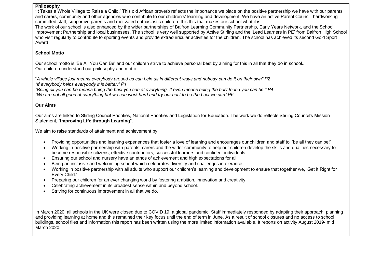#### **Philosophy**

'It Takes a Whole Village to Raise a Child.' This old African proverb reflects the importance we place on the positive partnership we have with our parents and carers, community and other agencies who contribute to our children's' learning and development. We have an active Parent Council, hardworking committed staff, supportive parents and motivated enthusiastic children. It is this that makes our school what it is. .

The work of our school is also enhanced by the wider partnerships of Balfron Learning Community Partnership, Early Years Network, and the School Improvement Partnership and local businesses. The school is very well supported by Active Stirling and the 'Lead Learners in PE' from Balfron High School who visit regularly to contribute to sporting events and provide extracurricular activities for the children. The school has achieved its second Gold Sport Award

## **School Motto**

Our school motto is 'Be All You Can Be' and our children strive to achieve personal best by aiming for this in all that they do in school.. Our children understand our philosophy and motto.

"*A whole village just means everybody around us can help us in different ways and nobody can do it on their own" P2 "If everybody helps everybody it is better." P1*

*"Being all you can be means being the best you can at everything. It even means being the best friend you can be." P4 "We are not all good at everything but we can work hard and try our best to be the best we can" P6*

# **Our Aims**

Our aims are linked to Stirling Council Priorities, National Priorities and Legislation for Education. The work we do reflects Stirling Council's Mission Statement, "**Improving Life through Learning**".

We aim to raise standards of attainment and achievement by

- Providing opportunities and learning experiences that foster a love of learning and encourages our children and staff to, 'be all they can be!'
- Working in positive partnership with parents, carers and the wider community to help our children develop the skills and qualities necessary to become responsible citizens, effective contributors, successful learners and confident individuals.
- Ensuring our school and nursery have an ethos of achievement and high expectations for all.
- Being an inclusive and welcoming school which celebrates diversity and challenges intolerance.
- Working in positive partnership with all adults who support our children's learning and development to ensure that together we, 'Get It Right for Every Child.'
- Preparing our children for an ever changing world by fostering ambition, innovation and creativity.
- Celebrating achievement in its broadest sense within and beyond school.
- Striving for continuous improvement in all that we do.

In March 2020, all schools in the UK were closed due to COVID 19, a global pandemic. Staff immediately responded by adapting their approach, planning and providing learning at home and this remained their key focus until the end of term in June. As a result of school closures and no access to school buildings, school files and information this report has been written using the more limited information available. It reports on activity August 2019- mid March 2020.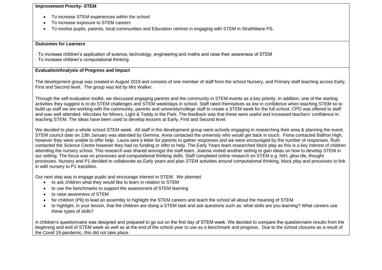### **Improvement Priority- STEM**

- To increase STEM experiences within the school
- To increase exposure to STEM careers
- To involve pupils, parents, local communities and Education centres in engaging with STEM in Strathblane PS.

#### **Outcomes for Learners**

- · To increase children's application of science, technology, engineering and maths and raise their awareness of STEM
- · To increase children's computational thinking.

## **Evaluation/Analysis of Progress and Impact**

The development group was created in August 2019 and consists of one member of staff from the school Nursery, and Primary staff teaching across Early, First and Second level. The group was led by Mrs Walker.

Through the self-evaluation toolkit, we discussed engaging parents and the community in STEM events as a key priority. In addition, one of the starting activities they suggest is to do STEM challenges and STEM week/days in school. Staff rated themselves as low in confidence when teaching STEM so to build up staff we are working with the community, parents and university/college staff to create a STEM week for the full school. CPD was offered to staff and was well attended- Microbes for Minors, Light & Teddy in the Park. The feedback was that these were useful and increased teachers' confidence in teaching STEM. The ideas have been used to develop lessons at Early, First and Second level.

We decided to plan a whole school STEM week. All staff in the development group were actively engaging in researching their area & planning the event. STEM council date on 13th January was attended by Gemma. Anna contacted the university who would get back in touch. Fiona contacted Balfron High, however they were unable to offer help. Laura sent a letter for parents to gather responses and we were encouraged by the number of responses. Ruth contacted the Science Centre however they had no funding or offer to help. The Early Years team researched block play as this is a key interest of children attending the nursery school. This research was shared amongst the staff team. Joanna visited another setting to gain ideas on how to develop STEM in our setting. The focus was on processes and computational thinking skills. Staff completed online research on STEM e.g. NIH, glow tile, thought processes. Nursery and P1 decided to collaborate as Early years and plan STEM activities around computational thinking, block play and processes to link in with nursery to P1 transition.

Our next step was to engage pupils and encourage interest in STEM. We planned:

- to ask children what they would like to learn in relation to STEM
- to use the benchmarks to support the assessment of STEM learning
- to raise awareness of STEM
- for children (P6) to lead an assembly to highlight the STEM careers and teach the school all about the meaning of STEM.
- to highlight, in your lesson, that the children are doing a STEM task and ask questions such as: what skills are you learning? What careers use these types of skills?

A children's questionnaire was designed and prepared to go out on the first day of STEM week. We decided to compare the questionnaire results from the beginning and end of STEM week as well as at the end of the school year to use as a benchmark and progress. Due to the school closures as a result of the Covid 19 pandemic, this did not take place.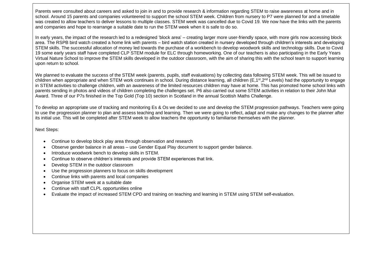Parents were consulted about careers and asked to join in and to provide research & information regarding STEM to raise awareness at home and in school. Around 15 parents and companies volunteered to support the school STEM week. Children from nursery to P7 were planned for and a timetable was created to allow teachers to deliver lessons to multiple classes. STEM week was cancelled due to Covid 19. We now have the links with the parents and companies and hope to rearrange a suitable date to run the STEM week when it is safe to do so.

In early years, the impact of the research led to a redesigned 'block area' – creating larger more user-friendly space, with more girls now accessing block area. The RSPB bird watch created a home link with parents – bird watch station created in nursery developed through children's interests and developing STEM skills. The successful allocation of money led towards the purchase of a workbench to develop woodwork skills and technology skills. Due to Covid 19 some early years staff have completed CLP STEM module for ELC through homeworking. One of our teachers is also participating in the Early Years Virtual Nature School to improve the STEM skills developed in the outdoor classroom, with the aim of sharing this with the school team to support learning upon return to school.

We planned to evaluate the success of the STEM week (parents, pupils, staff evaluations) by collecting data following STEM week. This will be issued to children when appropriate and when STEM work continues in school. During distance learning, all children  $(E,1<sup>st</sup>,2<sup>nd</sup>$  Levels) had the opportunity to engage in STEM activities to challenge children, with an awareness of the limited resources children may have at home. This has promoted home school links with parents sending in photos and videos of children completing the challenges set. P6 also carried out some STEM activities in relation to their John Muir Award. Three of our P7s finished in the Top Gold (Top 10) section in Scotland in the annual Scottish Maths Challenge.

To develop an appropriate use of tracking and monitoring Es & Os we decided to use and develop the STEM progression pathways. Teachers were going to use the progression planner to plan and assess teaching and learning. Then we were going to reflect, adapt and make any changes to the planner after its initial use. This will be completed after STEM week to allow teachers the opportunity to familiarise themselves with the planner.

Next Steps:

- Continue to develop block play area through observation and research
- Observe gender balance in all areas use Gender Equal Play document to support gender balance.
- Introduce woodwork bench to develop skills in STEM.
- Continue to observe children's interests and provide STEM experiences that link.
- Develop STEM in the outdoor classroom
- Use the progression planners to focus on skills development
- Continue links with parents and local companies
- Organise STEM week at a suitable date
- Continue with staff CLPL opportunities online
- Evaluate the impact of increased STEM CPD and training on teaching and learning in STEM using STEM self-evaluation.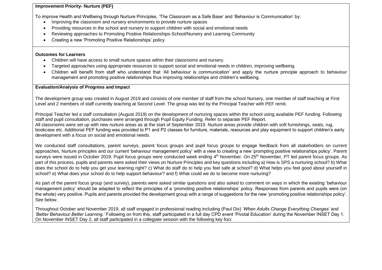# **Improvement Priority- Nurture (PEF)**

To improve Health and Wellbeing through Nurture Principles, 'The Classroom as a Safe Base' and 'Behaviour is Communication' by:

- Improving the classroom and nursery environments to provide nurture spaces
- Providing resources in the school and nursery to support children with social and emotional needs
- Reviewing approaches to Promoting Positive Relationships-School/Nursery and Learning Community
- Creating a new 'Promoting Positive Relationships' policy

# **Outcomes for Learners**

- Children will have access to small nurture spaces within their classrooms and nursery.
- Targeted approaches using appropriate resources to support social and emotional needs in children, improving wellbeing.
- Children will benefit from staff who understand that 'All behaviour is communication' and apply the nurture principle approach to behaviour management and promoting positive relationships thus improving relationships and children's wellbeing.

# **Evaluation/Analysis of Progress and Impact**

The development group was created in August 2019 and consists of one member of staff from the school Nursery, one member of staff teaching at First Level and 2 members of staff currently teaching at Second Level. The group was led by the Principal Teacher with PEF remit.

Principal Teacher led a staff consultation (August 2019) on the development of nurturing spaces within the school using available PEF funding. Following staff and pupil consultation, purchases were arranged through Pupil Equity Funding. Refer to separate PEF Report. All classrooms were set up with new nurture areas as at the start of September 2019. Nurture areas provide children with soft furnishings, seats, rug, bookcase etc. Additional PEF funding was provided to P1 and P2 classes for furniture, materials, resources and play equipment to support children's early development with a focus on social and emotional needs.

We conducted staff consultations, parent surveys, parent focus groups and pupil focus groups to engage feedback from all stakeholders on current approaches, Nurture principles and our current 'behaviour management policy' with a view to creating a new 'prompting positive relationships policy'. Parent surveys were issued in October 2019. Pupil focus groups were conducted week ending 4<sup>th</sup> November. On 25<sup>th</sup> November, PT led parent focus groups. As part of this process, pupils and parents were asked their views on Nurture Principles and key questions including a) How is SPS a nurturing school? b) What does the school do to help you get your learning right? c) What do staff do to help you feel safe at school? d) What helps you feel good about yourself in school? e) What does your school do to help support behaviour? and f) What could we do to become more nurturing?

As part of the parent focus group (and survey), parents were asked similar questions and also asked to comment on ways in which the existing 'behaviour management policy' should be adapted to reflect the principles of a 'promoting positive relationships' policy. Responses from parents and pupils were (on the whole) very positive. Pupils and parents provided the development group with a range of suggestions for the new 'promoting positive relationships policy'. See below.

Throughout October and November 2019, all staff engaged in professional reading including (Paul Dix) *'When Adults Change Everything Changes'* and *'Better Behaviour Better Learning.'* Following on from this, staff participated in a full day CPD event 'Pivotal Education' during the November INSET Day 1. On November INSET Day 2, all staff participated in a collegiate session with the following key foci: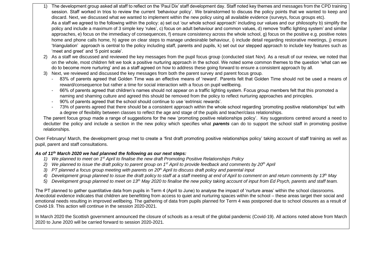- 1) The development group asked all staff to reflect on the 'Paul Dix' staff development day. Staff noted key themes and messages from the CPD training session. Staff worked in trios to review the current 'behaviour policy'. We brainstormed to discuss the policy points that we wanted to keep and discard. Next, we discussed what we wanted to implement within the new policy using all available evidence (surveys, focus groups etc). As a staff we agreed to the following within the policy: a) set out 'our whole school approach' including our values and our philosophy b) simplify the policy and include a maximum of 3 simple key 'rules', c) focus on adult behaviour and common values, d) remove 'traffic lighting system' and similar approaches, e) focus on the immediacy of consequences, f) ensure consistency across the whole school, g) focus on the positive e.g. positive notes home and phone calls home, h) agree on clear steps to manage undesirable behaviour, i) include detail regarding restorative meetings, j) ensure 'triangulation' approach is central to the policy including staff, parents and pupils, k) set out our stepped approach to include key features such as 'meet and greet' and '5 point scale'.
- 2) As a staff we discussed and reviewed the key messages from the pupil focus group (conducted start Nov). As a result of our review, we noted that on the whole, most children felt we took a positive nurturing approach in the school. We noted some common themes to the question 'what can we do to become more nurturing' and as a staff agreed on how to address these going forward to ensure a consistent approach by all.
- 3) Next, we reviewed and discussed the key messages from both the parent survey and parent focus group.
	- 83% of parents agreed that Golden Time was an effective means of 'reward'. Parents felt that Golden Time should not be used a means of reward/consequence but rather a time for social interaction with a focus on pupil wellbeing.
	- 66% of parents agreed that children's names should not appear on a traffic lighting system. Focus group members felt that this promoted a naming and shaming culture and agreed this should be removed from the policy to reflect nurturing approaches and principles.
	- 90% of parents agreed that the school should continue to use 'extrinsic rewards'.
	- 73% of parents agreed that there should be a consistent approach within the whole school regarding 'promoting positive relationships' but with a degree of flexibility between classes to reflect the age and stage of the pupils and teacher/class relationships.

The parent focus group made a range of suggestions for the new 'promoting positive relationships policy'. Key suggestions centred around a need to declutter the policy and include a section in the new policy which specifies what *parents* can do to support the school staff in promoting positive relationships.

Over February/ March, the development group met to create a 'first draft promoting positive relationships policy' taking account of staff training as well as pupil, parent and staff consultations.

# *As of 11th March 2020 we had planned the following as our next steps:*

- *1) We planned to meet on 1st April to finalise the new draft Promoting Positive Relationships Policy*
- *2) We planned to issue the draft policy to parent group on 1st April to provide feedback and comments by 20th April*
- 3) PT planned a focus group meeting with parents on 20<sup>th</sup> April to discuss draft policy and parental input
- *4) Development group planned to issue the draft policy to staff at a staff meeting at end of April to comment on and return comments by 13th May*
- *5) Development group planned to meet on 13th May 2020 to finalise the new policy taking account of input from Ed Psych, parents and staff team.*

The PT planned to gather quantitative data from pupils in Term 4 (April to June) to analyse the impact of 'nurture areas' within the school classrooms. Anecdotal evidence indicates that children are benefitting from access to quiet and nurturing spaces within the school – these areas target their social and emotional needs resulting in improved wellbeing. The gathering of data from pupils planned for Term 4 was postponed due to school closures as a result of Covid-19. This action will continue in the session 2020-2021.

In March 2020 the Scottish government announced the closure of schools as a result of the global pandemic (Covid-19). All actions noted above from March 2020 to June 2020 will be carried forward to session 2020-2021.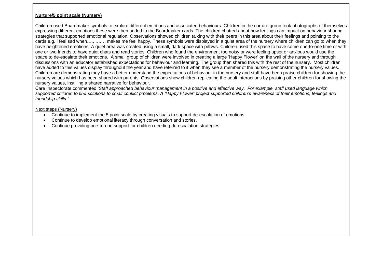# **Nurture/5 point scale (Nursery)**

Children used Boardmaker symbols to explore different emotions and associated behaviours. Children in the nurture group took photographs of themselves expressing different emotions these were then added to the Boardmaker cards. The children chatted about how feelings can impact on behaviour sharing strategies that supported emotional regulation. Observations showed children talking with their peers in this area about their feelings and pointing to the cards e.g. I feel sad when…., ……. makes me feel happy. These symbols were displayed in a quiet area of the nursery where children can go to when they have heightened emotions. A quiet area was created using a small, dark space with pillows. Children used this space to have some one-to-one time or with one or two friends to have quiet chats and read stories. Children who found the environment too noisy or were feeling upset or anxious would use the space to de-escalate their emotions. A small group of children were involved in creating a large 'Happy Flower' on the wall of the nursery and through discussions with an educator established expectations for behaviour and learning. The group then shared this with the rest of the nursery. Most children have added to this values display throughout the year and have referred to it when they see a member of the nursery demonstrating the nursery values. Children are demonstrating they have a better understand the expectations of behaviour in the nursery and staff have been praise children for showing the nursery values which has been shared with parents. Observations show children replicating the adult interactions by praising other children for showing the nursery values, instilling a shared narrative for behaviour.

Care Inspectorate commented '*Staff approached behaviour management in a positive and effective way. For example, staff used language which supported children to find solutions to small conflict problems. A 'Happy Flower' project supported children's awareness of their emotions, feelings and friendship skills.'* 

#### Next steps (Nursery)

- Continue to implement the 5 point scale by creating visuals to support de-escalation of emotions
- Continue to develop emotional literacy through conversation and stories.
- Continue providing one-to-one support for children needing de-escalation strategies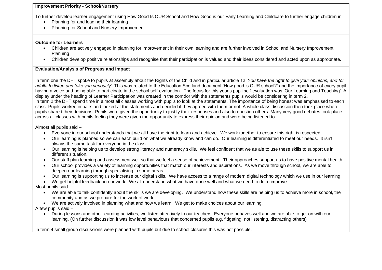## **Improvement Priority - School/Nursery**

To further develop learner engagement using How Good Is OUR School and How Good is our Early Learning and Childcare to further engage children in

- Planning for and leading their learning
- Planning for School and Nursery Improvement

## **Outcome for Learners**

- Children are actively engaged in planning for improvement in their own learning and are further involved in School and Nursery Improvement Planning
- Children develop positive relationships and recognise that their participation is valued and their ideas considered and acted upon as appropriate.

## **Evaluation/Analysis of Progress and Impact**

In term one the DHT spoke to pupils at assembly about the Rights of the Child and in particular article 12 '*You have the right to give your opinions, and for adults to listen and take you seriously'*. This was related to the Education Scotland document 'How good is OUR school?' and the importance of every pupil having a voice and being able to participate in the school self-evaluation. The focus for this year's pupil self-evaluation was 'Our Learning and Teaching'. A display under the heading of Learner Participation was created in the corridor with the statements pupils would be considering in term 2. In term 2 the DHT spend time in almost all classes working with pupils to look at the statements. The importance of being honest was emphasised to each class. Pupils worked in pairs and looked at the statements and decided if they agreed with them or not. A whole class discussion then took place when pupils shared their decisions. Pupils were given the opportunity to justify their responses and also to question others. Many very good debates took place across all classes with pupils feeling they were given the opportunity to express their opinion and were being listened to.

Almost all pupils said –

- Everyone in our school understands that we all have the right to learn and achieve. We work together to ensure this right is respected.
- Our learning is planned so we can each build on what we already know and can do. Our learning is differentiated to meet our needs. It isn't always the same task for everyone in the class.
- Our learning is helping us to develop strong literacy and numeracy skills. We feel confident that we ae ale to use these skills to support us in different situation.
- Our staff plan learning and assessment well so that we feel a sense of achievement. Their approaches support us to have positive mental health.
- Our school provides a variety of learning opportunities that match our interests and aspirations. As we move through school, we are able to deepen our learning through specialising in some areas.
- Our learning is supporting us to increase our digital skills. We have access to a range of modern digital technology which we use in our learning.
- We get helpful feedback on our work. We all understand what we have done well and what we need to do to improve.

Most pupils said –

- We are able to talk confidently about the skills we are developing. We understand how these skills are helping us to achieve more in school, the community and as we prepare for the work of work.
- We are actively involved in planning what and how we learn. We get to make choices about our learning.

# A few pupils said –

• During lessons and other learning activities, we listen attentively to our teachers. Everyone behaves well and we are able to get on with our learning. (On further discussion it was low level behaviours that concerned pupils e.g. fidgeting, not listening, distracting others)

# In term 4 small group discussions were planned with pupils but due to school closures this was not possible.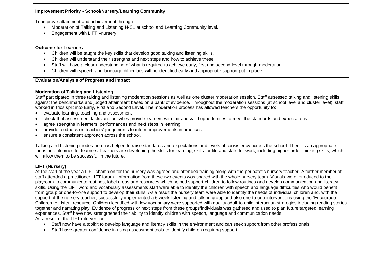## **Improvement Priority - School/Nursery/Learning Community**

To improve attainment and achievement through

- Moderation of Talking and Listening N-S1 at school and Learning Community level.
- Engagement with LIFT –nursery

# **Outcome for Learners**

- Children will be taught the key skills that develop good talking and listening skills.
- Children will understand their strengths and next steps and how to achieve these.
- Staff will have a clear understanding of what is required to achieve early, first and second level through moderation.
- Children with speech and language difficulties will be identified early and appropriate support put in place.

# **Evaluation/Analysis of Progress and Impact**

# **Moderation of Talking and Listening**

Staff participated in three talking and listening moderation sessions as well as one cluster moderation session. Staff assessed talking and listening skills against the benchmarks and judged attainment based on a bank of evidence. Throughout the moderation sessions (at school level and cluster level), staff worked in trios split into Early, First and Second Level. The moderation process has allowed teachers the opportunity to:

- evaluate learning, teaching and assessment
- check that assessment tasks and activities provide learners with fair and valid opportunities to meet the standards and expectations
- agree strengths in learners' performances and next steps in learning
- provide feedback on teachers' judgements to inform improvements in practices.
- ensure a consistent approach across the school.

Talking and Listening moderation has helped to raise standards and expectations and levels of consistency across the school. There is an appropriate focus on outcomes for learners. Learners are developing the skills for learning, skills for life and skills for work, including higher order thinking skills, which will allow them to be successful in the future.

# **LIFT (Nursery)**

At the start of the year a LIFT champion for the nursery was agreed and attended training along with the peripatetic nursery teacher. A further member of staff attended a practitioner LIFT forum. Information from these two events was shared with the whole nursery team. Visuals were introduced to the playroom to communicate routines, label areas and resources which helped support children to follow routines and develop communication and literacy skills. Using the LIFT word and vocabulary assessments staff were able to identify the children with speech and language difficulties who would benefit from group or one-to-one support to develop their skills. As a result the nursery team were able to identify the needs of individual children and, with the support of the nursery teacher, successfully implemented a 6 week listening and talking group and also one-to-one interventions using the 'Encourage Children to Listen' resource. Children identified with low vocabulary were supported with quality adult-to-child interaction strategies including reading stories together and narrating play. Evidence of progress or next steps from these groups/individuals was gathered and used to plan future targeted learning experiences. Staff have now strengthened their ability to identify children with speech, language and communication needs. As a result of the LIFT intervention -

- Staff now have a toolkit to develop language and literacy skills in the environment and can seek support from other professionals.
- Staff have greater confidence in using assessment tools to identify children requiring support.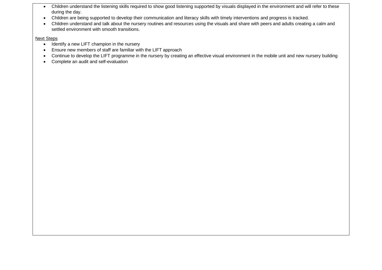- Children understand the listening skills required to show good listening supported by visuals displayed in the environment and will refer to these during the day.
- Children are being supported to develop their communication and literacy skills with timely interventions and progress is tracked.
- Children understand and talk about the nursery routines and resources using the visuals and share with peers and adults creating a calm and settled environment with smooth transitions.

## Next Steps

- Identify a new LIFT champion in the nursery
- Ensure new members of staff are familiar with the LIFT approach
- Continue to develop the LIFT programme in the nursery by creating an effective visual environment in the mobile unit and new nursery building
- Complete an audit and self-evaluation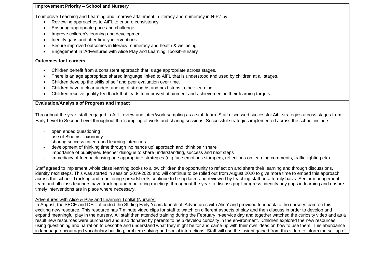## **Improvement Priority – School and Nursery**

To improve Teaching and Learning and improve attainment in literacy and numeracy in N-P7 by

- Reviewing approaches to AiFL to ensure consistency
- Ensuring appropriate pace and challenge
- Improve children's learning and development
- Identify gaps and offer timely interventions
- Secure improved outcomes in literacy, numeracy and health & wellbeing
- Engagement in 'Adventures with Alice Play and Learning Toolkit'-nursery

#### **Outcomes for Learners**

- Children benefit from a consistent approach that is age appropriate across stages.
- There is an age appropriate shared language linked to AiFL that is understood and used by children at all stages.
- Children develop the skills of self and peer evaluation over time.
- Children have a clear understanding of strengths and next steps in their learning.
- Children receive quality feedback that leads to improved attainment and achievement in their learning targets.

## **Evaluation/Analysis of Progress and Impact**

Throughout the year, staff engaged in AifL review and jotter/work sampling as a staff team. Staff discussed successful AifL strategies across stages from Early Level to Second Level throughout the 'sampling of work' and sharing sessions. Successful strategies implemented across the school include:

- open ended questioning
- use of Blooms Taxonomy
- sharing success criteria and learning intentions
- development of thinking time through 'no hands up' approach and 'think pair share'
- importance of pupil/peer/ teacher dialogue to share understanding, success and next steps
- immediacy of feedback using age appropriate strategies (e.g face emotions stampers, reflections on learning comments, traffic lighting etc)

Staff agreed to implement whole class learning books to allow children the opportunity to reflect on and share their learning and through discussions, identify next steps. This was started in session 2019-2020 and will continue to be rolled out from August 2020 to give more time to embed this approach across the school. Tracking and monitoring spreadsheets continue to be updated and reviewed by teaching staff on a termly basis. Senior management team and all class teachers have tracking and monitoring meetings throughout the year to discuss pupil progress, identify any gaps in learning and ensure timely interventions are in place where necessary.

## Adventures with Alice & Play and Learning Toolkit (Nursery)

In August, the SECE and DHT attended the Stirling Early Years launch of 'Adventures with Alice' and provided feedback to the nursery team on this exciting new resource. This resource has 7 minute video clips for staff to watch on different aspects of play and then discuss in order to develop and expand meaningful play in the nursery. All staff then attended training during the February in-service day and together watched the curiosity video and as a result new resources were purchased and also donated by parents to help develop curiosity in the environment. Children explored the new resources using questioning and narration to describe and understand what they might be for and came up with their own ideas on how to use them. This abundance in language encouraged vocabulary building, problem solving and social interactions. Staff will use the insight gained from this video to inform the set-up of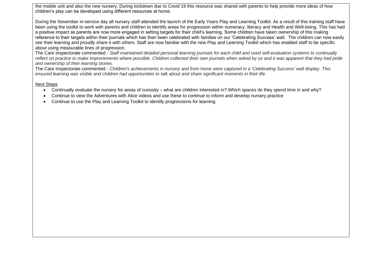the mobile unit and also the new nursery. During lockdown due to Covid 19 this resource was shared with parents to help provide more ideas of how children's play can be developed using different resources at home.

During the November in-service day all nursery staff attended the launch of the Early Years Play and Learning Toolkit. As a result of this training staff have been using the toolkit to work with parents and children to identify areas for progression within numeracy, literacy and Health and Well-being. This has had a positive impact as parents are now more engaged in setting targets for their child's learning. Some children have taken ownership of this making reference to their targets within their journals which has then been celebrated with families on our 'Celebrating Success' wall. The children can now easily see their learning and proudly share it with others. Staff are now familiar with the new Play and Learning Toolkit which has enabled staff to be specific about using measurable lines of progression.

The Care Inspectorate commented - *Staff maintained detailed personal learning journals for each child and used self-evaluation systems to continually*  reflect on practice to make improvements where possible. Children collected their own journals when asked by us and it was apparent that they had pride *and ownership of their learning stories.*

The Care Inspectorate commented - *Children's achievements in nursery and from home were captured in a 'Celebrating Success' wall display. This ensured learning was visible and children had opportunities to talk about and share significant moments in their life*.

## Next Steps

- Continually evaluate the nursery for areas of curiosity what are children interested in? Which spaces do they spend time in and why?
- Continue to view the Adventures with Alice videos and use these to continue to inform and develop nursery practice
- Continue to use the Play and Learning Toolkit to identify progressions for learning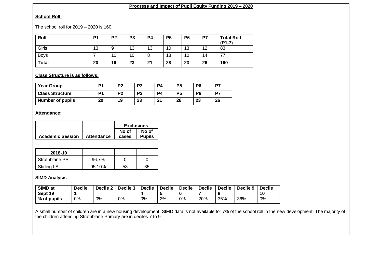# **Progress and Impact of Pupil Equity Funding 2019 – 2020**

# **School Roll:**

The school roll for 2019 – 2020 is 160.

| Roll         | P <sub>1</sub> | P <sub>2</sub> | P <sub>3</sub> | P <sub>4</sub> | <b>P5</b> | P <sub>6</sub> | P7 | <b>Total Roll</b><br>$(P1-7)$ |
|--------------|----------------|----------------|----------------|----------------|-----------|----------------|----|-------------------------------|
| Girls        | 13             | g              | 13             | 13             | 10        | 13             | 12 | 83                            |
| <b>Boys</b>  |                | 10             | 10             | о              | 18        | 10             | 14 | 77                            |
| <b>Total</b> | 20             | 19             | 23             | 21             | 28        | 23             | 26 | 160                           |

# **Class Structure is as follows:**

| <b>Year Group</b>       | D <sub>1</sub> | P <sub>2</sub> | P <sub>3</sub> | P4 | P <sub>5</sub> | P <sub>6</sub> | P7 |
|-------------------------|----------------|----------------|----------------|----|----------------|----------------|----|
| <b>Class Structure</b>  | P1             | P <sub>2</sub> | P <sub>3</sub> | P4 | P <sub>5</sub> | P <sub>6</sub> | P7 |
| <b>Number of pupils</b> | 20             | 19             | 23             | 21 | 28             | 23             | 26 |

# **Attendance:**

|                         |            |       | <b>Exclusions</b> |
|-------------------------|------------|-------|-------------------|
|                         |            | No of | No of             |
| <b>Academic Session</b> | Attendance | cases | <b>Pupils</b>     |

| 2018-19        |        |    |    |
|----------------|--------|----|----|
| Strathblane PS | 96.7%  |    |    |
| Stirling LA    | 95.10% | 53 | 35 |

# **SIMD Analysis**

| SIMD at<br>Sept 19 | <b>Decile</b> | Decile 2 | Decile 3 | <b>Decile</b> | <b>Decile</b> | <b>Decile</b> | <b>Decile</b> | <b>Decile</b> | Decile 9 | <b>Decile</b><br>10 |
|--------------------|---------------|----------|----------|---------------|---------------|---------------|---------------|---------------|----------|---------------------|
| % of pupils        | 0%            | 0%       | 0%       | 0%            | 2%            | 0%            | 20%           | 35%           | 36%      | 0%                  |

A small number of children are in a new housing development. SIMD data is not available for 7% of the school roll in the new development. The majority of the children attending Strathblane Primary are in deciles 7 to 9.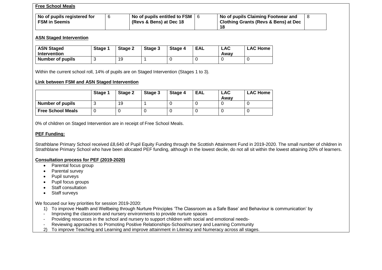### **Free School Meals**

| No of pupils registered for<br><b>FSM in Seemis</b> | No of pupils entitled to FSM<br>(Revs & Bens) at Dec 18 | No of pupils Claiming Footwear and<br>  Clothing Grants (Revs & Bens) at Dec |  |
|-----------------------------------------------------|---------------------------------------------------------|------------------------------------------------------------------------------|--|
|                                                     |                                                         |                                                                              |  |

#### **ASN Staged Intervention**

| <b>ASN Staged</b><br>Intervention | Stage 1 | Stage 2 | Stage 3 | Stage 4 | EAL | <b>LAC</b><br>Awav | <b>LAC Home</b> |
|-----------------------------------|---------|---------|---------|---------|-----|--------------------|-----------------|
| Number of pupils                  |         | 19      |         |         |     |                    |                 |

Within the current school roll, 14% of pupils are on Staged Intervention (Stages 1 to 3).

## **Link between FSM and ASN Staged Intervention**

|                          | Stage 1 | Stage 2 | Stage 3 | Stage 4 | EAL | <b>LAC</b><br>Awav | <b>LAC Home</b> |
|--------------------------|---------|---------|---------|---------|-----|--------------------|-----------------|
| <b>Number of pupils</b>  |         | 19      |         |         |     |                    |                 |
| <b>Free School Meals</b> |         |         |         |         |     |                    |                 |

0% of children on Staged Intervention are in receipt of Free School Meals.

## **PEF Funding:**

Strathblane Primary School received £8,640 of Pupil Equity Funding through the Scottish Attainment Fund in 2019-2020. The small number of children in Strathblane Primary School who have been allocated PEF funding, although in the lowest decile, do not all sit within the lowest attaining 20% of learners.

### **Consultation process for PEF (2019-2020)**

- Parental focus group
- Parental survey
- Pupil surveys
- Pupil focus groups
- Staff consultation
- Staff surveys

We focused our key priorities for session 2019-2020:

- 1) To improve Health and Wellbeing through Nurture Principles 'The Classroom as a Safe Base' and Behaviour is communication' by
- Improving the classroom and nursery environments to provide nurture spaces
- Providing resources in the school and nursery to support children with social and emotional needs-
- Reviewing approaches to Promoting Positive Relationships-School/nursery and Learning Community
- 2) To improve Teaching and Learning and improve attainment in Literacy and Numeracy across all stages.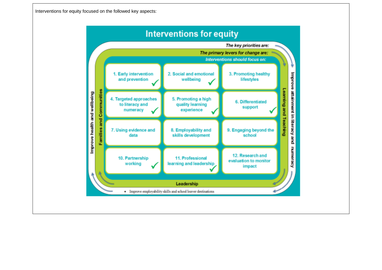Interventions for equity focused on the followed key aspects:

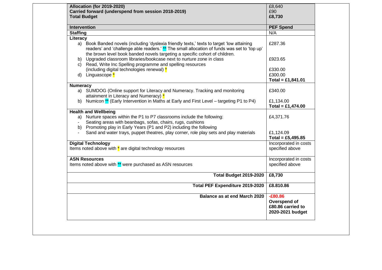| <b>Allocation (for 2019-2020)</b><br>Carried forward (underspend from session 2018-2019)                                                                                                                                                     | £8,640<br>£90                                                      |
|----------------------------------------------------------------------------------------------------------------------------------------------------------------------------------------------------------------------------------------------|--------------------------------------------------------------------|
| <b>Total Budget</b>                                                                                                                                                                                                                          | £8,730                                                             |
|                                                                                                                                                                                                                                              |                                                                    |
| Intervention                                                                                                                                                                                                                                 | <b>PEF</b> Spend                                                   |
| <b>Staffing</b>                                                                                                                                                                                                                              | N/A                                                                |
| Literacy<br>a) Book Banded novels (including 'dyslexia friendly texts,' texts to target 'low attaining<br>readers' and 'challenge able readers.' ** The small allocation of funds was set to 'top up'                                        | £287.36                                                            |
| the brown level book banded novels targeting a specific cohort of children.<br>b) Upgraded classroom libraries/bookcase next to nurture zone in class<br>c) Read, Write Inc Spelling programme and spelling resources                        | £923.65                                                            |
| (including digital technologies renewal) *<br>d) Linguascope <sup>*</sup>                                                                                                                                                                    | £330.00<br>£300.00                                                 |
| <b>Numeracy</b>                                                                                                                                                                                                                              | Total = £1,841.01                                                  |
| a) SUMDOG (Online support for Literacy and Numeracy. Tracking and monitoring<br>attainment in Literacy and Numeracy) *                                                                                                                       | £340.00                                                            |
| Numicon ** (Early Intervention in Maths at Early and First Level – targeting P1 to P4)<br>b)                                                                                                                                                 | £1,134.00<br>Total = £1,474.00                                     |
| <b>Health and Wellbeing</b><br>a) Nurture spaces within the P1 to P7 classrooms include the following:<br>Seating areas with beanbags, sofas, chairs, rugs, cushions<br>b) Promoting play in Early Years (P1 and P2) including the following | £4,371.76                                                          |
| Sand and water trays, puppet theatres, play corner, role play sets and play materials                                                                                                                                                        | £1,124.09<br>Total = £5,495.85                                     |
| <b>Digital Technology</b><br>Items noted above with $*$ are digital technology resources                                                                                                                                                     | Incorporated in costs<br>specified above                           |
| <b>ASN Resources</b><br>Items noted above with ** were purchased as ASN resources                                                                                                                                                            | Incorporated in costs<br>specified above                           |
| <b>Total Budget 2019-2020</b>                                                                                                                                                                                                                | £8,730                                                             |
| Total PEF Expenditure 2019-2020                                                                                                                                                                                                              | £8.810.86                                                          |
| Balance as at end March 2020                                                                                                                                                                                                                 | $-£80.86$<br>Overspend of<br>£80.86 carried to<br>2020-2021 budget |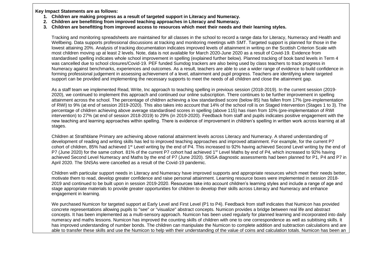**Key Impact Statements are as follows:**

- **1. Children are making progress as a result of targeted support in Literacy and Numeracy.**
- **2. Children are benefitting from improved teaching approaches in Literacy and Numeracy.**
- **3. Children are benefitting from improved access to resources which meet their needs and their learning styles.**

Tracking and monitoring spreadsheets are maintained for all classes in the school to record a range data for Literacy, Numeracy and Health and Wellbeing. Data supports professional discussions at tracking and monitoring meetings with SMT. Targeted support is planned for those in the lowest attaining 20%. Analysis of tracking documentation indicates improved levels of attainment in writing on the Scottish Criterion Scale with most children moving up at least 2 levels. Note, data is not available for March 2020-June 2020 as a result of Covid-19. Evidence from standardised spelling indicates whole school improvement in spelling (explained further below). Planned tracking of book band levels in Term 4 was cancelled due to school closures/Covid-19. PEF funded Sumdog trackers are also being used by class teachers to track progress in Numeracy against benchmarks, experiences and outcomes. As a result, teachers are able to use a wider range of evidence to build confidence in forming professional judgement in assessing achievement of a level, attainment and pupil progress. Teachers are identifying where targeted support can be provided and implementing the necessary supports to meet the needs of all children and close the attainment gap.

As a staff team we implemented Read, Write, Inc approach to teaching spelling in previous session (2018-2019). In the current session (2019- 2020), we continued to implement this approach and continued our online subscription. There continues to be further improvement in spelling attainment across the school. The percentage of children achieving a low standardised score (below 85) has fallen from 17% (pre-implementation of RWI) to 9% (at end of session 2019-2020). This also takes into account that 14% of the school roll is on Staged Intervention (Stages 1 to 3). The percentage of children achieving above average standardised scores in spelling (above 115) has risen from 10% (pre-implementation of RWI intervention) to 27% (at end of session 2018-2019) to 29% (in 2019-2020). Feedback from staff and pupils indicates positive engagement with the new teaching and learning approaches within spelling. There is evidence of improvement in children's spelling in written work across learning at all stages.

Children at Strathblane Primary are achieving above national attainment levels across Literacy and Numeracy. A shared understanding of development of reading and writing skills has led to improved teaching approaches and improved attainment. For example, for the current P7 cohort of children, 85% had achieved 1<sup>st</sup> Level writing by the end of P4. This increased to 92% having achieved Second Level writing by the end of P7 (June 2020) for the same cohort. 81% of the current P7 cohort had achieved 1<sup>st</sup> Level Maths by end of P4, which increased to 92% having achieved Second Level Numeracy and Maths by the end of P7 (June 2020). SNSA diagnostic assessments had been planned for P1, P4 and P7 in April 2020. The SNSAs were cancelled as a result of the Covid-19 pandemic.

Children with particular support needs in Literacy and Numeracy have improved supports and appropriate resources which meet their needs better, motivate them to read, develop greater confidence and raise personal attainment. Learning resource boxes were implemented in session 2018- 2019 and continued to be built upon in session 2019-2020. Resources take into account children's learning styles and include a range of age and stage appropriate materials to provide greater opportunities for children to develop their skills across Literacy and Numeracy and enhance engagement in learning.

We purchased Numicon for targeted support at Early Level and First Level (P1 to P4). Feedback from staff indicates that Numicon has provided concrete representations allowing pupils to "see" or "visualize" abstract concepts. Numicon provides a bridge between real life and abstract concepts. It has been implemented as a multi-sensory approach. Numicon has been used regularly for planned learning and incorporated into daily numeracy and maths lessons. Numicon has improved the counting skills of children with one to one correspondence as well as subitising skills. It has improved understanding of number bonds. The children can manipulate the Numicon to complete addition and subtraction calculations and are able to transfer these skills and use the Numicon to help with their understanding of the value of coins and calculation totals. Numicon has been an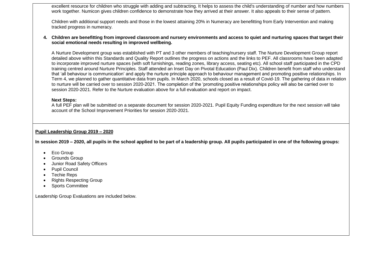excellent resource for children who struggle with adding and subtracting. It helps to assess the child's understanding of number and how numbers work together. Numicon gives children confidence to demonstrate how they arrived at their answer. It also appeals to their sense of pattern.

Children with additional support needs and those in the lowest attaining 20% in Numeracy are benefitting from Early Intervention and making tracked progress in numeracy.

#### **4. Children are benefitting from improved classroom and nursery environments and access to quiet and nurturing spaces that target their social emotional needs resulting in improved wellbeing.**

A Nurture Development group was established with PT and 3 other members of teaching/nursery staff. The Nurture Development Group report detailed above within this Standards and Quality Report outlines the progress on actions and the links to PEF. All classrooms have been adapted to incorporate improved nurture spaces (with soft furnishings, reading zones, library access, seating etc). All school staff participated in the CPD training centred around Nurture Principles. Staff attended an Inset Day on Pivotal Education (Paul Dix). Children benefit from staff who understand that 'all behaviour is communication' and apply the nurture principle approach to behaviour management and promoting positive relationships. In Term 4, we planned to gather quantitative data from pupils. In March 2020, schools closed as a result of Covid-19. The gathering of data in relation to nurture will be carried over to session 2020-2021. The completion of the 'promoting positive relationships policy will also be carried over to session 2020-2021. Refer to the Nurture evaluation above for a full evaluation and report on impact.

## **Next Steps:**

A full PEF plan will be submitted on a separate document for session 2020-2021. Pupil Equity Funding expenditure for the next session will take account of the School Improvement Priorities for session 2020-2021.

## **Pupil Leadership Group 2019 – 2020**

**In session 2019 – 2020, all pupils in the school applied to be part of a leadership group. All pupils participated in one of the following groups:**

- Eco Group
- Grounds Group
- Junior Road Safety Officers
- Pupil Council
- Techie Reps
- Rights Respecting Group
- Sports Committee

Leadership Group Evaluations are included below.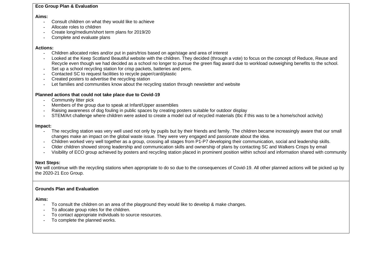#### **Eco Group Plan & Evaluation**

#### **Aims:**

- Consult children on what they would like to achieve
- Allocate roles to children
- Create long/medium/short term plans for 2019/20
- Complete and evaluate plans

## **Actions:**

- Children allocated roles and/or put in pairs/trios based on age/stage and area of interest
- Looked at the Keep Scotland Beautiful website with the children. They decided (through a vote) to focus on the concept of Reduce, Reuse and Recycle even though we had decided as a school no longer to pursue the green flag award due to workload outweighing benefits to the school.
- Set up a school recycling station for crisp packets, batteries and pens.
- Contacted SC to request facilities to recycle paper/card/plastic
- Created posters to advertise the recycling station
- Let families and communities know about the recycling station through newsletter and website

## **Planned actions that could not take place due to Covid-19**

- Community litter pick
- Members of the group due to speak at Infant/Upper assemblies
- Raising awareness of dog fouling in public spaces by creating posters suitable for outdoor display
- STEM/Art challenge where children were asked to create a model out of recycled materials (tbc if this was to be a home/school activity)

#### **Impact:**

- The recycling station was very well used not only by pupils but by their friends and family. The children became increasingly aware that our small changes make an impact on the global waste issue. They were very engaged and passionate about the idea.
- Children worked very well together as a group, crossing all stages from P1-P7 developing their communication, social and leadership skills.
- Older children showed strong leadership and communication skills and ownership of plans by contacting SC and Walkers Crisps by email
- Visibility of ECO group achieved by posters and recycling station placed in prominent position within school and information shared with community

## **Next Steps:**

We will continue with the recycling stations when appropriate to do so due to the consequences of Covid-19. All other planned actions will be picked up by the 2020-21 Eco Group.

#### **Grounds Plan and Evaluation**

#### **Aims:**

- To consult the children on an area of the playground they would like to develop & make changes.
- To allocate group roles for the children.
- To contact appropriate individuals to source resources.
- To complete the planned works.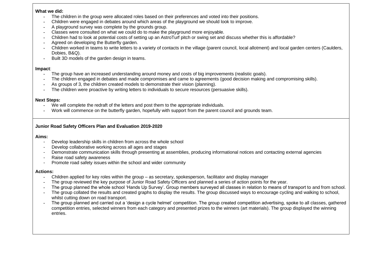#### **What we did:**

- The children in the group were allocated roles based on their preferences and voted into their positions.
- Children were engaged in debates around which areas of the playground we should look to improve.
- A playground survey was complete by the grounds group.
- Classes were consulted on what we could do to make the playground more enjoyable.
- Children had to look at potential costs of setting up an AstroTurf pitch or swing set and discuss whether this is affordable?
- Agreed on developing the Butterfly garden.
- Children worked in teams to write letters to a variety of contacts in the village (parent council, local allotment) and local garden centers (Caulders, Dobies, B&Q).
- Built 3D models of the garden design in teams.

# **Impact**:

- The group have an increased understanding around money and costs of big improvements (realistic goals).
- The children engaged in debates and made compromises and came to agreements (good decision making and compromising skills).
- As groups of 3, the children created models to demonstrate their vision (planning).
- The children were proactive by writing letters to individuals to secure resources (persuasive skills).

# **Next Steps:**

- We will complete the redraft of the letters and post them to the appropriate individuals.
- Work will commence on the butterfly garden, hopefully with support from the parent council and grounds team.

# **Junior Road Safety Officers Plan and Evaluation 2019-2020**

# **Aims:**

- Develop leadership skills in children from across the whole school
- Develop collaborative working across all ages and stages
- Demonstrate communication skills through presenting at assemblies, producing informational notices and contacting external agencies
- Raise road safety awareness
- Promote road safety issues within the school and wider community

# **Actions:**

- Children applied for key roles within the group as secretary, spokesperson, facilitator and display manager
- The group reviewed the key purpose of Junior Road Safety Officers and planned a series of action points for the year.
- The group planned the whole school 'Hands Up Survey'. Group members surveyed all classes in relation to means of transport to and from school.
- The group collated the results and created graphs to display the results. The group discussed ways to encourage cycling and walking to school, whilst cutting down on road transport.
- The group planned and carried out a 'design a cycle helmet' competition. The group created competition advertising, spoke to all classes, gathered competition entries, selected winners from each category and presented prizes to the winners (art materials). The group displayed the winning entries.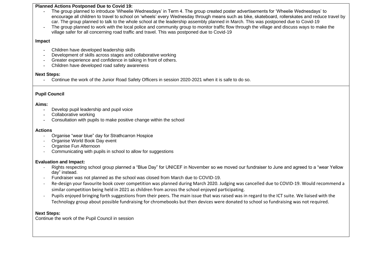#### **Planned Actions Postponed Due to Covid 19:**

- The group planned to introduce 'Wheelie Wednesdays' in Term 4. The group created poster advertisements for 'Wheelie Wednesdays' to encourage all children to travel to school on 'wheels' every Wednesday through means such as bike, skateboard, rollerskates and reduce travel by car. The group planned to talk to the whole school at the leadership assembly planned in March. This was postponed due to Covid-19
- The group planned to work with the local police and community group to monitor traffic flow through the village and discuss ways to make the village safer for all concerning road traffic and travel. This was postponed due to Covid-19

#### **Impact**

- Children have developed leadership skills
- Development of skills across stages and collaborative working
- Greater experience and confidence in talking in front of others.
- Children have developed road safety awareness

## **Next Steps:**

- Continue the work of the Junior Road Safety Officers in session 2020-2021 when it is safe to do so.

# **Pupil Council**

## **Aims:**

- Develop pupil leadership and pupil voice
- Collaborative working
- Consultation with pupils to make positive change within the school

#### **Actions**

- Organise "wear blue" day for Strathcarron Hospice
- Organise World Book Day event
- Organise Fun Afternoon
- Communicating with pupils in school to allow for suggestions

## **Evaluation and Impact:**

- Rights respecting school group planned a "Blue Day" for UNICEF in November so we moved our fundraiser to June and agreed to a "wear Yellow day" instead.
- Fundraiser was not planned as the school was closed from March due to COVID-19.
- Re-design your favourite book cover competition was planned during March 2020. Judging was cancelled due to COVID-19. Would recommend a similar competition being held in 2021 as children from across the school enjoyed participating.
- Pupils enjoyed bringing forth suggestions from their peers. The main issue that was raised was in regard to the ICT suite. We liaised with the Technology group about possible fundraising for chromebooks but then devices were donated to school so fundraising was not required.

# **Next Steps:**

Continue the work of the Pupil Council in session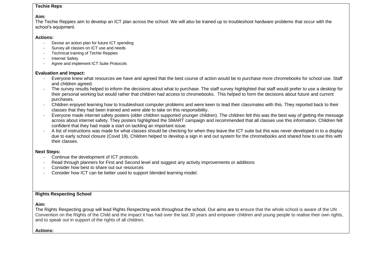#### **Techie Reps**

#### **Aim:**

The Techie Reppies aim to develop an ICT plan across the school. We will also be trained up to troubleshoot hardware problems that occur with the school's equipment.

## **Actions:**

- Devise an action plan for future ICT spending
- Survey all classes on ICT use and needs
- Technical training of Techie Reppies
- Internet Safety
- Agree and implement ICT Suite Protocols

## **Evaluation and Impact:**

- Everyone knew what resources we have and agreed that the best course of action would be to purchase more chromebooks for school use. Staff and children agreed.
- The survey results helped to inform the decisions about what to purchase. The staff survey highlighted that staff would prefer to use a desktop for their personal working but would rather that children had access to chromebooks. This helped to form the decisions about future and current purchases.
- Children enjoyed learning how to troubleshoot computer problems and were keen to lead their classmates with this. They reported back to their classes that they had been trained and were able to take on this responsibility.
- Everyone made internet safety posters (older children supported younger children). The children felt this was the best way of getting the message across about internet safety. They posters highlighted the SMART campaign and recommended that all classes use this information. Children felt confident that they had made a start on tackling an important issue.
- A list of instructions was made for what classes should be checking for when they leave the ICT suite but this was never developed in to a display due to early school closure (Covid 19). Children helped to develop a sign in and out system for the chromebooks and shared how to use this with their classes.

## **Next Steps:**

- Continue the development of ICT protocols.
- Read through planners for First and Second level and suggest any activity improvements or additions
- Consider how best to share out our resources
- Consider how ICT can be better used to support blended learning model.

# **Rights Respecting School**

## **Aim:**

The Rights Respecting group will lead Rights Respecting work throughout the school. Our aims are to ensure that the whole school is aware of the UN Convention on the Rights of the Child and the impact it has had over the last 30 years and empower children and young people to realise their own rights, and to speak out in support of the rights of all children.

#### **Actions:**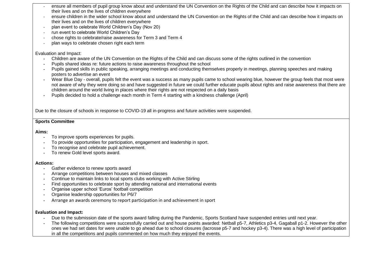- ensure all members of pupil group know about and understand the UN Convention on the Rights of the Child and can describe how it impacts on their lives and on the lives of children everywhere
- ensure children in the wider school know about and understand the UN Convention on the Rights of the Child and can describe how it impacts on their lives and on the lives of children everywhere
- plan event to celebrate World Children's Day (Nov 20)
- run event to celebrate World Children's Day
- chose rights to celebrate/raise awareness for Term 3 and Term 4
- plan ways to celebrate chosen right each term

## Evaluation and Impact:

- Children are aware of the UN Convention on the Rights of the Child and can discuss some of the rights outlined in the convention
- Pupils shared ideas re: future actions to raise awareness throughout the school
- Pupils gained skills in public speaking, arranging meetings and conducting themselves properly in meetings, planning speeches and making posters to advertise an event
- Wear Blue Day overall, pupils felt the event was a success as many pupils came to school wearing blue, however the group feels that most were not aware of why they were doing so and have suggested in future we could further educate pupils about rights and raise awareness that there are children around the world living in places where their rights are not respected on a daily basis
- Pupils decided to hold a challenge each month in Term 4 starting with a kindness challenge (April)

Due to the closure of schools in response to COVID-19 all in-progress and future activities were suspended.

# **Sports Committee**

## **Aims:**

- To improve sports experiences for pupils.
- To provide opportunities for participation, engagement and leadership in sport.
- To recognise and celebrate pupil achievement.
- To renew Gold level sports award.

## **Actions:**

- Gather evidence to renew sports award
- Arrange competitions between houses and mixed classes
- Continue to maintain links to local sports clubs working with Active Stirling
- Find opportunities to celebrate sport by attending national and international events
- Organise upper school 'Euros' football competition
- Organise leadership opportunities for P6/7
- Arrange an awards ceremony to report participation in and achievement in sport

# **Evaluation and Impact:**

- Due to the submission date of the sports award falling during the Pandemic, Sports Scotland have suspended entries until next year.
- The following competitions were successfully carried out and house points awarded: Netball p5-7, Athletics p3-4, Gagaball p1-2. However the other ones we had set dates for were unable to go ahead due to school closures (lacrosse p5-7 and hockey p3-4). There was a high level of participation in all the competitions and pupils commented on how much they enjoyed the events.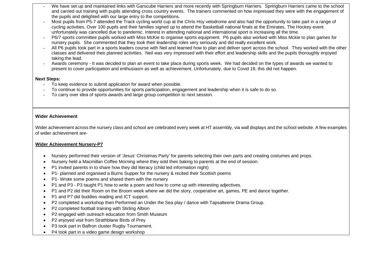- We have set up and maintained links with Garscube Harriers and more recently with Springburn Harriers. Springburn Harriers came to the school and carried out training with pupils attending cross country events. The trainers commented on how impressed they were with the engagement of the pupils and delighted with our large entry to the competitions.
- Most pupils from P5-7 attended the Track cycling world cup at the Chris Hoy velodrome and also had the opportunity to take part in a range of cycling activities. Over 100 pupils and their families signed up to attend the Basketball national finals at the Emirates. The Hockey event unfortunately was cancelled due to pandemic. Interest in attending national and international sport is increasing all the time.
- P6/7 sports committee pupils worked with Miss McKie to organise sports equipment. P6 pupils also worked with Miss Mckie to plan games for nursery pupils. She commented that they took their leadership roles very seriously and did really excellent work.
- All P6 pupils took part in a sports leaders course with Neil and learned how to plan and deliver sport across the school. They worked with the other classes and delivered their planned activities. Neil was very impressed with their effort and leadership skills and the pupils thoroughly enjoyed taking the lead.
- Awards ceremony It was decided to plan an event to take place during sports week. We had decided on the types of awards we wanted to present to cover participation and enthusiasm as well as achievement. Unfortunately, due to Covid 19, this did not happen.

## **Next Steps:**

- To keep evidence to submit application for award when possible.
- To continue to provide opportunities for sports participation, engagement and leadership when it is safe to do so.
- To carry over idea of sports awards and large group competition to next session.

# **Wider Achievement**

Wider achievement across the nursery class and school are celebrated every week at HT assembly, via wall displays and the school website. A few examples of wider achievement are-

# **Wider Achievement Nursery-P7**

- Nursery performed their version of 'Jesus' Christmas Party' for parents selecting their own parts and creating costumes and props.
- Nursery held a Macmillan Coffee Morning where they sold their baking to parents at the end of session.
- P1 invited parents in to share how they did literacy (child led information night)
- P1- planned and organised a Burns Supper for the nursery & recited their Scottish poems
- P1- Wrote some poems and shared them with the nursery
- P1 and P3 P3 taught P1 how to write a poem and how to come up with interesting adjectives.
- P1 and P2 did their Room on the Broom week where we did the story, cooperative art, games, PE and dance together.
- P1 and P7 did buddies reading and ICT support.
- P2 completed a workshop then Performed an Under the Sea play / dance with Tapsalteerie Drama Group.
- P2 completed football training with Stirling Albion
- P2 engaged with outreach education from Smith Museum
- P2 enjoyed visit from Strathblane Birds of Prey
- P3 took part in Balfron cluster Rugby Tournament.
- P4 took part in a video game design workshop